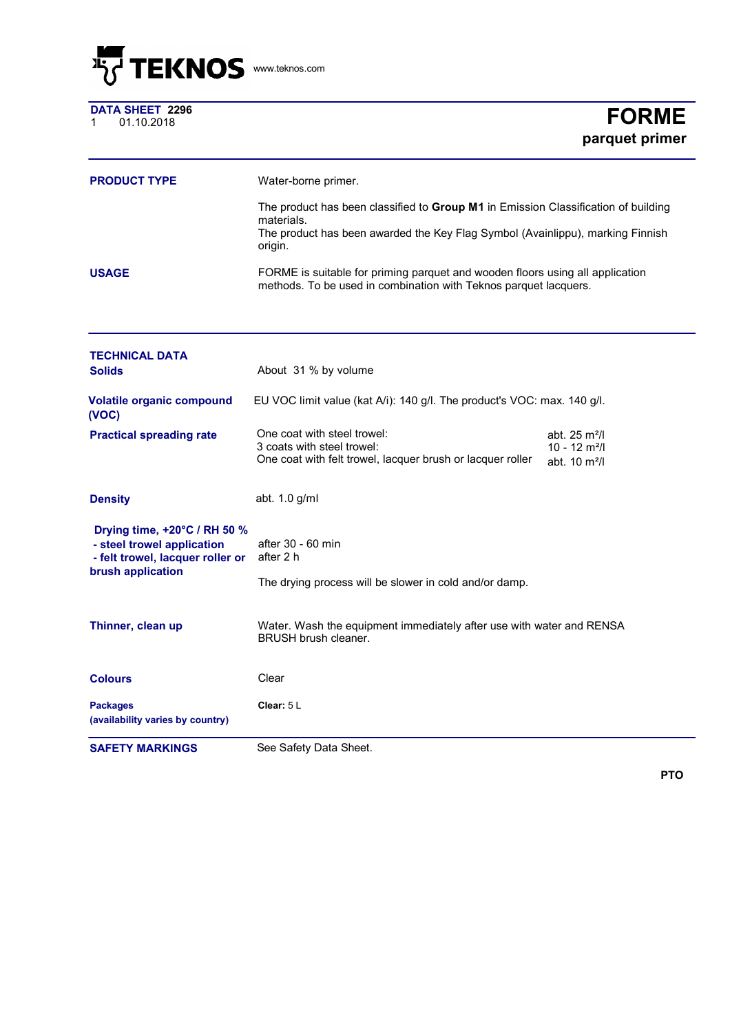

|   | <b>DATA SHEET 2296</b> |  |
|---|------------------------|--|
| 1 | 01.10.2018             |  |

## $FORME$ **parquet primer**

| <b>PRODUCT TYPE</b> | Water-borne primer.                                                                                                                                                                           |
|---------------------|-----------------------------------------------------------------------------------------------------------------------------------------------------------------------------------------------|
|                     | The product has been classified to Group M1 in Emission Classification of building<br>materials.<br>The product has been awarded the Key Flag Symbol (Avainlippu), marking Finnish<br>origin. |
| <b>USAGE</b>        | FORME is suitable for priming parquet and wooden floors using all application<br>methods. To be used in combination with Teknos parquet lacquers.                                             |

| <b>SAFETY MARKINGS</b>                                                                                              | See Safety Data Sheet.                                                                                                  |                                                                                      |  |
|---------------------------------------------------------------------------------------------------------------------|-------------------------------------------------------------------------------------------------------------------------|--------------------------------------------------------------------------------------|--|
| <b>Packages</b><br>(availability varies by country)                                                                 | Clear: $5L$                                                                                                             |                                                                                      |  |
| <b>Colours</b>                                                                                                      | Clear                                                                                                                   |                                                                                      |  |
| Thinner, clean up                                                                                                   | Water. Wash the equipment immediately after use with water and RENSA<br><b>BRUSH brush cleaner.</b>                     |                                                                                      |  |
| Drying time, +20°C / RH 50 %<br>- steel trowel application<br>- felt trowel, lacquer roller or<br>brush application | after 30 - 60 min<br>after 2 h<br>The drying process will be slower in cold and/or damp.                                |                                                                                      |  |
| <b>Density</b>                                                                                                      | abt. 1.0 g/ml                                                                                                           |                                                                                      |  |
| <b>Practical spreading rate</b>                                                                                     | One coat with steel trowel:<br>3 coats with steel trowel:<br>One coat with felt trowel, lacquer brush or lacquer roller | abt. $25 \text{ m}^2$ /l<br>$10 - 12$ m <sup>2</sup> /l<br>abt. 10 m <sup>2</sup> /l |  |
| <b>Volatile organic compound</b><br>(VOC)                                                                           | EU VOC limit value (kat A/i): 140 g/l. The product's VOC: max. 140 g/l.                                                 |                                                                                      |  |
| <b>TECHNICAL DATA</b><br><b>Solids</b>                                                                              | About 31 % by volume                                                                                                    |                                                                                      |  |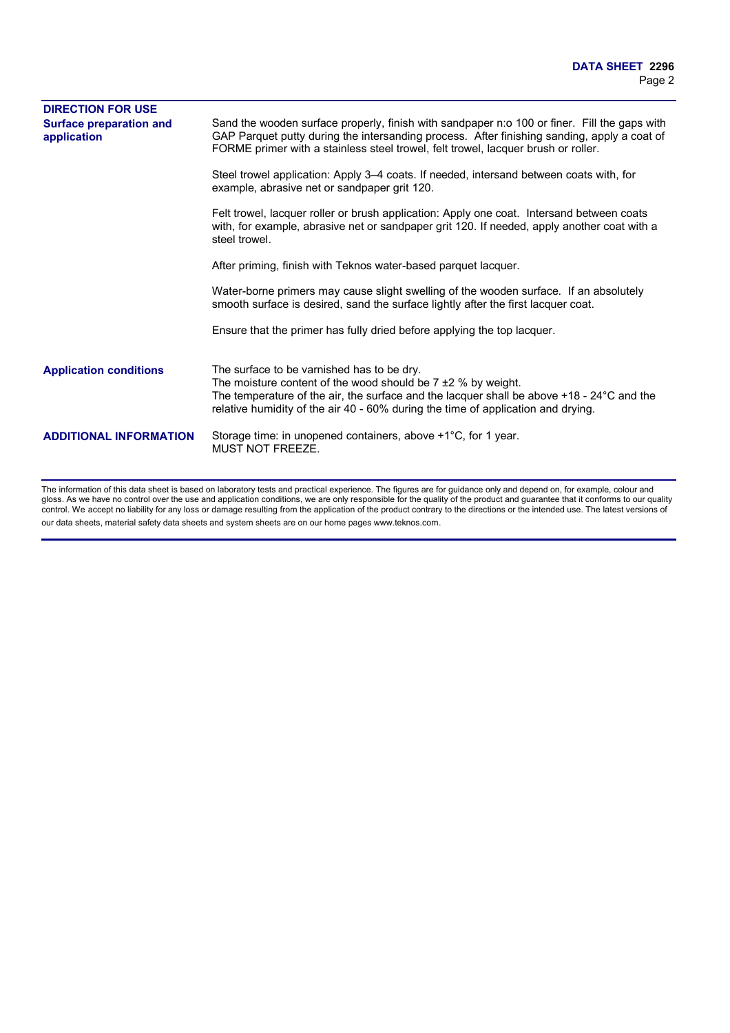| <b>DIRECTION FOR USE</b>                      |                                                                                                                                                                                                                                                                                                              |
|-----------------------------------------------|--------------------------------------------------------------------------------------------------------------------------------------------------------------------------------------------------------------------------------------------------------------------------------------------------------------|
| <b>Surface preparation and</b><br>application | Sand the wooden surface properly, finish with sandpaper n:o 100 or finer. Fill the gaps with<br>GAP Parquet putty during the intersanding process. After finishing sanding, apply a coat of<br>FORME primer with a stainless steel trowel, felt trowel, lacquer brush or roller.                             |
|                                               | Steel trowel application: Apply 3–4 coats. If needed, intersand between coats with, for<br>example, abrasive net or sandpaper grit 120.                                                                                                                                                                      |
|                                               | Felt trowel, lacquer roller or brush application: Apply one coat. Intersand between coats<br>with, for example, abrasive net or sandpaper grit 120. If needed, apply another coat with a<br>steel trowel.                                                                                                    |
|                                               | After priming, finish with Teknos water-based parquet lacquer.                                                                                                                                                                                                                                               |
|                                               | Water-borne primers may cause slight swelling of the wooden surface. If an absolutely<br>smooth surface is desired, sand the surface lightly after the first lacquer coat.                                                                                                                                   |
|                                               | Ensure that the primer has fully dried before applying the top lacquer.                                                                                                                                                                                                                                      |
| <b>Application conditions</b>                 | The surface to be varnished has to be dry.<br>The moisture content of the wood should be $7 \pm 2$ % by weight.<br>The temperature of the air, the surface and the lacquer shall be above $+18$ - 24 $\degree$ C and the<br>relative humidity of the air 40 - 60% during the time of application and drying. |
| <b>ADDITIONAL INFORMATION</b>                 | Storage time: in unopened containers, above $+1^{\circ}$ C, for 1 year.<br><b>MUST NOT FREEZE.</b>                                                                                                                                                                                                           |

The information of this data sheet is based on laboratory tests and practical experience. The figures are for guidance only and depend on, for example, colour and gloss. As we have no control over the use and application conditions, we are only responsible for the quality of the product and guarantee that it conforms to our quality control. We accept no liability for any loss or damage resulting from the application of the product contrary to the directions or the intended use. The latest versions of our data sheets, material safety data sheets and system sheets are on our home pages www.teknos.com.